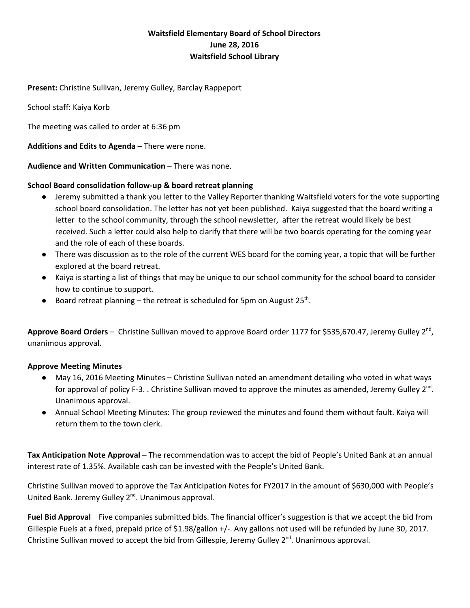## **Waitsfield Elementary Board of School Directors June 28, 2016 Waitsfield School Library**

**Present:**Christine Sullivan, Jeremy Gulley, Barclay Rappeport

School staff: Kaiya Korb

The meeting was called to order at 6:36 pm

**Additions and Edits to Agenda**– There were none.

**Audience and Written Communication**– There was none.

## **School Board consolidation followup & board retreat planning**

- Jeremy submitted a thank you letter to the Valley Reporter thanking Waitsfield voters for the vote supporting school board consolidation. The letter has not yet been published. Kaiya suggested that the board writing a letter to the school community, through the school newsletter, after the retreat would likely be best received. Such a letter could also help to clarify that there will be two boards operating for the coming year and the role of each of these boards.
- There was discussion as to the role of the current WES board for the coming year, a topic that will be further explored at the board retreat.
- Kaiya is starting a list of things that may be unique to our school community for the school board to consider how to continue to support.
- Board retreat planning the retreat is scheduled for 5pm on August 25<sup>th</sup>.

**Approve Board Orders** – Christine Sullivan moved to approve Board order 1177 for \$535,670.47, Jeremy Gulley 2<sup>nd</sup>, unanimous approval.

## **Approve Meeting Minutes**

- May 16, 2016 Meeting Minutes Christine Sullivan noted an amendment detailing who voted in what ways for approval of policy F-3. . Christine Sullivan moved to approve the minutes as amended, Jeremy Gulley 2<sup>nd</sup>. Unanimous approval.
- Annual School Meeting Minutes: The group reviewed the minutes and found them without fault. Kaiya will return them to the town clerk.

**Tax Anticipation Note Approval**– The recommendation was to accept the bid of People's United Bank at an annual interest rate of 1.35%. Available cash can be invested with the People's United Bank.

Christine Sullivan moved to approve the Tax Anticipation Notes for FY2017 in the amount of \$630,000 with People's United Bank. Jeremy Gulley 2<sup>nd</sup>. Unanimous approval.

**Fuel Bid Approval** Five companies submitted bids. The financial officer's suggestion is that we accept the bid from Gillespie Fuels at a fixed, prepaid price of \$1.98/gallon +/-. Any gallons not used will be refunded by June 30, 2017. Christine Sullivan moved to accept the bid from Gillespie, Jeremy Gulley  $2^{nd}$ . Unanimous approval.